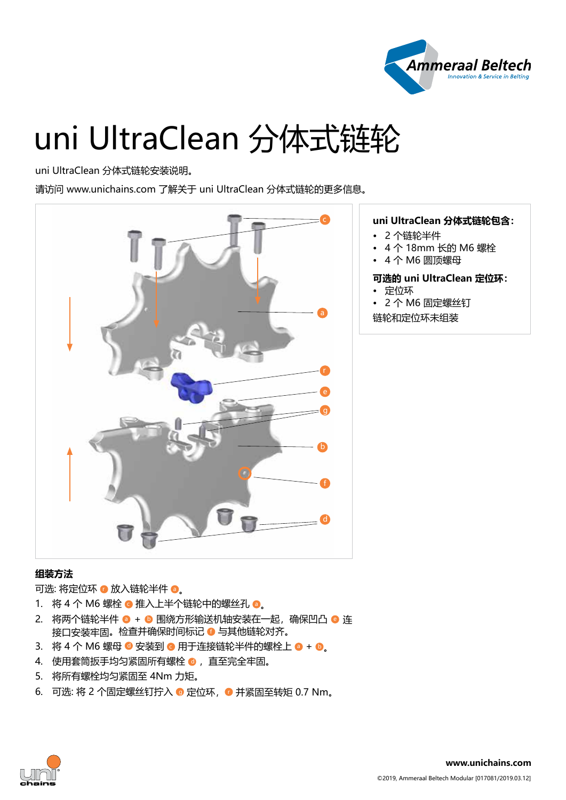

# uni UltraClean 分体式链轮

### uni UltraClean 分体式链轮安装说明。

请访问 www.unichains.com 了解关于 uni UltraClean 分体式链轮的更多信息。



## **组装方法**

可选: 将定位环 ● 放入链轮半件 ●。

- 1. 将 4 个 M6 螺栓 推入上半个链轮中的螺丝孔 ●。
- 2. 将两个链轮半件 + 围绕方形输送机轴安装在一起, 确保凹凸 连 接口安装牢固。检查并确保时间标记 © 与其他链轮对齐。
- 3. 将 4 个 M6 螺母 C 安装到 C 用于连接链轮半件的螺栓上 O + O
- 4. 使用套筒扳手均匀紧固所有螺栓 0, 直至完全牢固。
- 5. 将所有螺栓均匀紧固至 4Nm 力矩。
- 6. 可选: 将 2 个固定螺丝钉拧入 ◎ 定位环, ◎ 并紧固至转矩 0.7 Nm。

# **uni UltraClean 分体式链轮包含:**

- 2 个链轮半件
- 4 个 18mm 长的 M6 螺栓
- 4 个 M6 圆顶螺母

## **可选的 uni UltraClean 定位环:**

- 定位环
- 2 个 M6 固定螺丝钉

链轮和定位环未组装